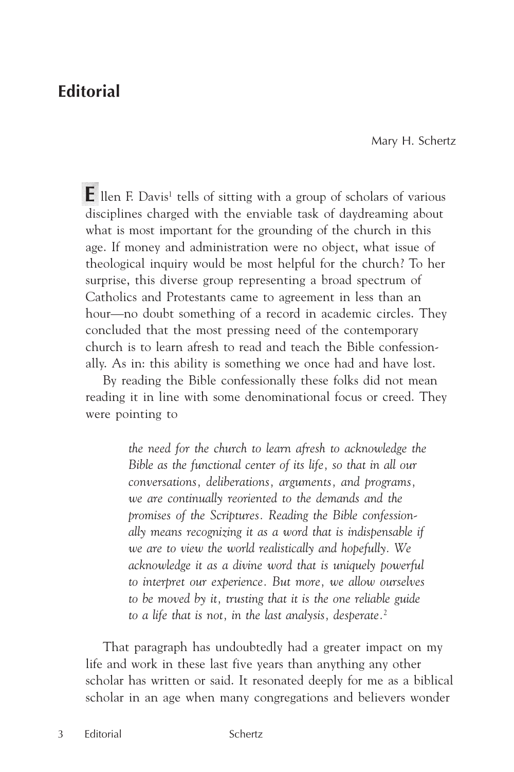## **Editorial**

Mary H. Schertz

**E** llen F. Davis<sup>1</sup> tells of sitting with a group of scholars of various disciplines charged with the enviable task of daydreaming about what is most important for the grounding of the church in this age. If money and administration were no object, what issue of theological inquiry would be most helpful for the church? To her surprise, this diverse group representing a broad spectrum of Catholics and Protestants came to agreement in less than an hour—no doubt something of a record in academic circles. They concluded that the most pressing need of the contemporary church is to learn afresh to read and teach the Bible confessionally. As in: this ability is something we once had and have lost.

By reading the Bible confessionally these folks did not mean reading it in line with some denominational focus or creed. They were pointing to

> *the need for the church to learn afresh to acknowledge the Bible as the functional center of its life, so that in all our conversations, deliberations, arguments, and programs, we are continually reoriented to the demands and the promises of the Scriptures. Reading the Bible confessionally means recognizing it as a word that is indispensable if we are to view the world realistically and hopefully. We acknowledge it as a divine word that is uniquely powerful to interpret our experience. But more, we allow ourselves to be moved by it, trusting that it is the one reliable guide to a life that is not, in the last analysis, desperate.*<sup>2</sup>

That paragraph has undoubtedly had a greater impact on my life and work in these last five years than anything any other scholar has written or said. It resonated deeply for me as a biblical scholar in an age when many congregations and believers wonder